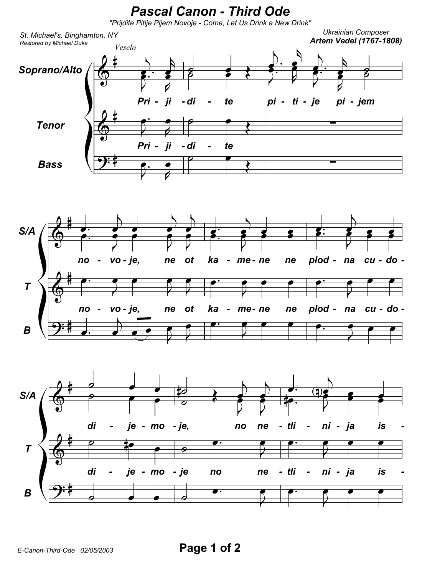